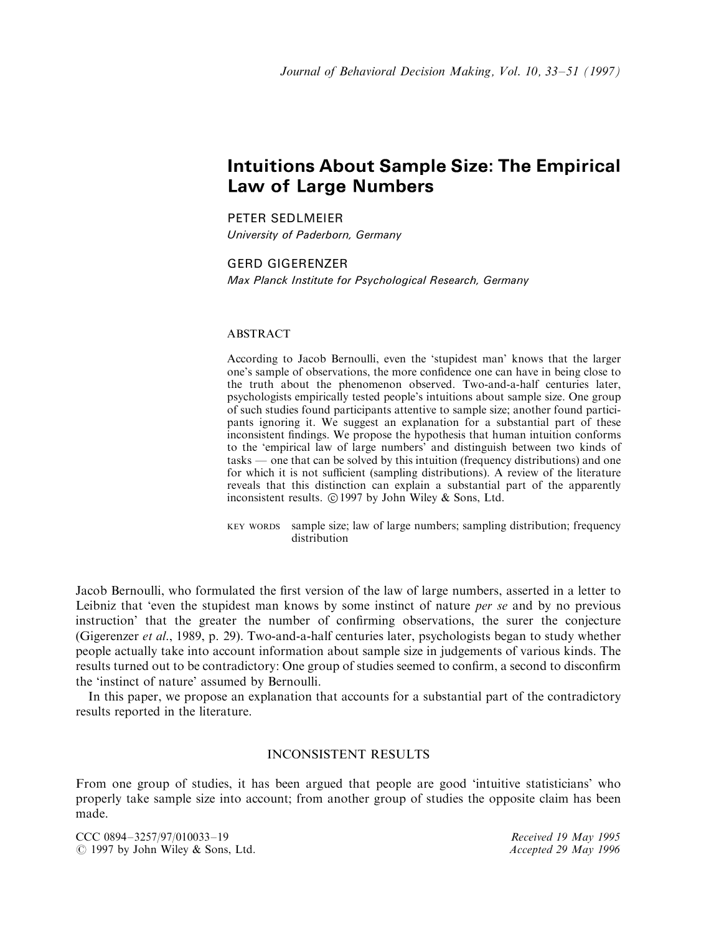# Intuitions About Sample Size: The Empirical Law of Large Numbers

PETER SEDLMEIER University of Paderborn, Germany

GERD GIGERENZER Max Planck Institute for Psychological Research, Germany

# ABSTRACT

According to Jacob Bernoulli, even the `stupidest man' knows that the larger one's sample of observations, the more confidence one can have in being close to the truth about the phenomenon observed. Two-and-a-half centuries later, psychologists empirically tested people's intuitions about sample size. One group of such studies found participants attentive to sample size; another found participants ignoring it. We suggest an explanation for a substantial part of these inconsistent findings. We propose the hypothesis that human intuition conforms to the `empirical law of large numbers' and distinguish between two kinds of tasks — one that can be solved by this intuition (frequency distributions) and one for which it is not sufficient (sampling distributions). A review of the literature reveals that this distinction can explain a substantial part of the apparently inconsistent results.  $© 1997$  by John Wiley & Sons, Ltd.

KEY WORDS sample size; law of large numbers; sampling distribution; frequency distribution

Jacob Bernoulli, who formulated the first version of the law of large numbers, asserted in a letter to Leibniz that 'even the stupidest man knows by some instinct of nature *per se* and by no previous instruction' that the greater the number of confirming observations, the surer the conjecture (Gigerenzer et al., 1989, p. 29). Two-and-a-half centuries later, psychologists began to study whether people actually take into account information about sample size in judgements of various kinds. The results turned out to be contradictory: One group of studies seemed to confirm, a second to disconfirm the `instinct of nature' assumed by Bernoulli.

In this paper, we propose an explanation that accounts for a substantial part of the contradictory results reported in the literature.

## INCONSISTENT RESULTS

From one group of studies, it has been argued that people are good `intuitive statisticians' who properly take sample size into account; from another group of studies the opposite claim has been made.

CCC 0894-3257/97/010033-19 Received 19 May 1995  $\odot$  1997 by John Wiley & Sons, Ltd.  $\odot$  Accepted 29 May 1996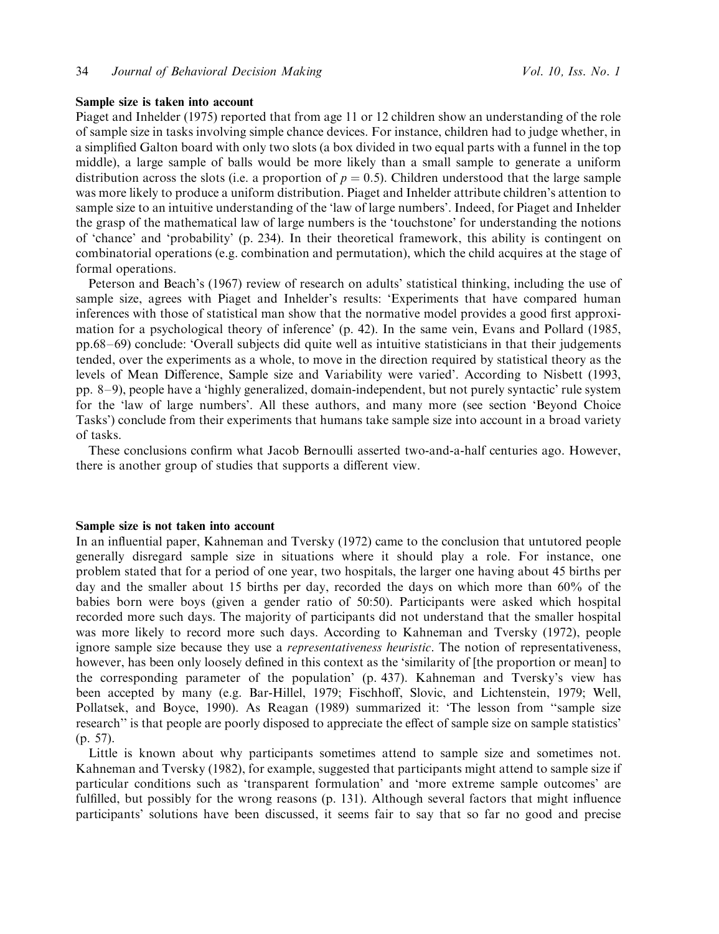#### Sample size is taken into account

Piaget and Inhelder (1975) reported that from age 11 or 12 children show an understanding of the role of sample size in tasks involving simple chance devices. For instance, children had to judge whether, in a simplified Galton board with only two slots (a box divided in two equal parts with a funnel in the top middle), a large sample of balls would be more likely than a small sample to generate a uniform distribution across the slots (i.e. a proportion of  $p = 0.5$ ). Children understood that the large sample was more likely to produce a uniform distribution. Piaget and Inhelder attribute children's attention to sample size to an intuitive understanding of the 'law of large numbers'. Indeed, for Piaget and Inhelder the grasp of the mathematical law of large numbers is the `touchstone' for understanding the notions of `chance' and `probability' (p. 234). In their theoretical framework, this ability is contingent on combinatorial operations (e.g. combination and permutation), which the child acquires at the stage of formal operations.

Peterson and Beach's (1967) review of research on adults' statistical thinking, including the use of sample size, agrees with Piaget and Inhelder's results: `Experiments that have compared human inferences with those of statistical man show that the normative model provides a good first approximation for a psychological theory of inference' (p. 42). In the same vein, Evans and Pollard (1985, pp.68–69) conclude: 'Overall subjects did quite well as intuitive statisticians in that their judgements tended, over the experiments as a whole, to move in the direction required by statistical theory as the levels of Mean Difference, Sample size and Variability were varied'. According to Nisbett (1993, pp. 8±9), people have a `highly generalized, domain-independent, but not purely syntactic' rule system for the 'law of large numbers'. All these authors, and many more (see section 'Beyond Choice Tasks') conclude from their experiments that humans take sample size into account in a broad variety of tasks.

These conclusions confirm what Jacob Bernoulli asserted two-and-a-half centuries ago. However, there is another group of studies that supports a different view.

#### Sample size is not taken into account

In an influential paper, Kahneman and Tversky (1972) came to the conclusion that untutored people generally disregard sample size in situations where it should play a role. For instance, one problem stated that for a period of one year, two hospitals, the larger one having about 45 births per day and the smaller about 15 births per day, recorded the days on which more than 60% of the babies born were boys (given a gender ratio of 50:50). Participants were asked which hospital recorded more such days. The majority of participants did not understand that the smaller hospital was more likely to record more such days. According to Kahneman and Tversky (1972), people ignore sample size because they use a representativeness heuristic. The notion of representativeness, however, has been only loosely defined in this context as the 'similarity of [the proportion or mean] to the corresponding parameter of the population' (p. 437). Kahneman and Tversky's view has been accepted by many (e.g. Bar-Hillel, 1979; Fischhoff, Slovic, and Lichtenstein, 1979; Well, Pollatsek, and Boyce, 1990). As Reagan (1989) summarized it: 'The lesson from "sample size research'' is that people are poorly disposed to appreciate the effect of sample size on sample statistics' (p. 57).

Little is known about why participants sometimes attend to sample size and sometimes not. Kahneman and Tversky (1982), for example, suggested that participants might attend to sample size if particular conditions such as `transparent formulation' and `more extreme sample outcomes' are fulfilled, but possibly for the wrong reasons  $(p. 131)$ . Although several factors that might influence participants' solutions have been discussed, it seems fair to say that so far no good and precise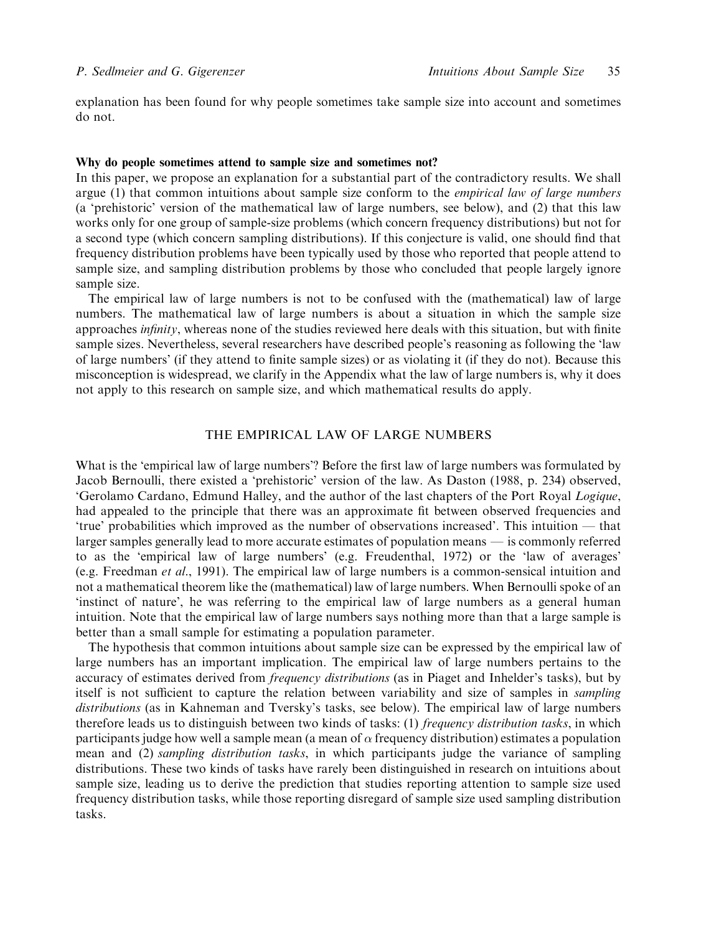explanation has been found for why people sometimes take sample size into account and sometimes do not.

## Why do people sometimes attend to sample size and sometimes not?

In this paper, we propose an explanation for a substantial part of the contradictory results. We shall argue (1) that common intuitions about sample size conform to the *empirical law of large numbers* (a `prehistoric' version of the mathematical law of large numbers, see below), and (2) that this law works only for one group of sample-size problems (which concern frequency distributions) but not for a second type (which concern sampling distributions). If this conjecture is valid, one should find that frequency distribution problems have been typically used by those who reported that people attend to sample size, and sampling distribution problems by those who concluded that people largely ignore sample size.

The empirical law of large numbers is not to be confused with the (mathematical) law of large numbers. The mathematical law of large numbers is about a situation in which the sample size approaches *infinity*, whereas none of the studies reviewed here deals with this situation, but with finite sample sizes. Nevertheless, several researchers have described people's reasoning as following the 'law of large numbers' (if they attend to finite sample sizes) or as violating it (if they do not). Because this misconception is widespread, we clarify in the Appendix what the law of large numbers is, why it does not apply to this research on sample size, and which mathematical results do apply.

# THE EMPIRICAL LAW OF LARGE NUMBERS

What is the 'empirical law of large numbers'? Before the first law of large numbers was formulated by Jacob Bernoulli, there existed a 'prehistoric' version of the law. As Daston (1988, p. 234) observed, `Gerolamo Cardano, Edmund Halley, and the author of the last chapters of the Port Royal Logique, had appealed to the principle that there was an approximate fit between observed frequencies and 'true' probabilities which improved as the number of observations increased'. This intuition — that larger samples generally lead to more accurate estimates of population means — is commonly referred to as the `empirical law of large numbers' (e.g. Freudenthal, 1972) or the `law of averages' (e.g. Freedman et al., 1991). The empirical law of large numbers is a common-sensical intuition and not a mathematical theorem like the (mathematical) law of large numbers. When Bernoulli spoke of an `instinct of nature', he was referring to the empirical law of large numbers as a general human intuition. Note that the empirical law of large numbers says nothing more than that a large sample is better than a small sample for estimating a population parameter.

The hypothesis that common intuitions about sample size can be expressed by the empirical law of large numbers has an important implication. The empirical law of large numbers pertains to the accuracy of estimates derived from *frequency distributions* (as in Piaget and Inhelder's tasks), but by itself is not sufficient to capture the relation between variability and size of samples in *sampling* distributions (as in Kahneman and Tversky's tasks, see below). The empirical law of large numbers therefore leads us to distinguish between two kinds of tasks: (1) frequency distribution tasks, in which participants judge how well a sample mean (a mean of  $\alpha$  frequency distribution) estimates a population mean and (2) *sampling distribution tasks*, in which participants judge the variance of sampling distributions. These two kinds of tasks have rarely been distinguished in research on intuitions about sample size, leading us to derive the prediction that studies reporting attention to sample size used frequency distribution tasks, while those reporting disregard of sample size used sampling distribution tasks.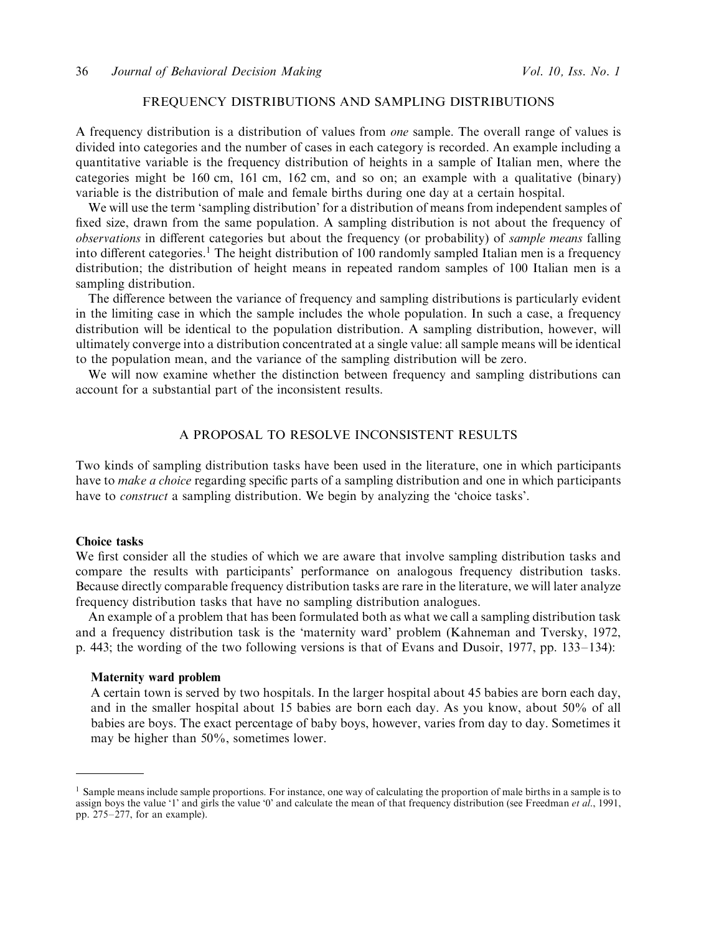# FREQUENCY DISTRIBUTIONS AND SAMPLING DISTRIBUTIONS

A frequency distribution is a distribution of values from one sample. The overall range of values is divided into categories and the number of cases in each category is recorded. An example including a quantitative variable is the frequency distribution of heights in a sample of Italian men, where the categories might be 160 cm, 161 cm, 162 cm, and so on; an example with a qualitative (binary) variable is the distribution of male and female births during one day at a certain hospital.

We will use the term 'sampling distribution' for a distribution of means from independent samples of fixed size, drawn from the same population. A sampling distribution is not about the frequency of observations in different categories but about the frequency (or probability) of *sample means* falling into different categories.<sup>1</sup> The height distribution of 100 randomly sampled Italian men is a frequency distribution; the distribution of height means in repeated random samples of 100 Italian men is a sampling distribution.

The difference between the variance of frequency and sampling distributions is particularly evident in the limiting case in which the sample includes the whole population. In such a case, a frequency distribution will be identical to the population distribution. A sampling distribution, however, will ultimately converge into a distribution concentrated at a single value: all sample means will be identical to the population mean, and the variance of the sampling distribution will be zero.

We will now examine whether the distinction between frequency and sampling distributions can account for a substantial part of the inconsistent results.

# A PROPOSAL TO RESOLVE INCONSISTENT RESULTS

Two kinds of sampling distribution tasks have been used in the literature, one in which participants have to *make a choice* regarding specific parts of a sampling distribution and one in which participants have to *construct* a sampling distribution. We begin by analyzing the 'choice tasks'.

#### Choice tasks

We first consider all the studies of which we are aware that involve sampling distribution tasks and compare the results with participants' performance on analogous frequency distribution tasks. Because directly comparable frequency distribution tasks are rare in the literature, we will later analyze frequency distribution tasks that have no sampling distribution analogues.

An example of a problem that has been formulated both as what we call a sampling distribution task and a frequency distribution task is the `maternity ward' problem (Kahneman and Tversky, 1972, p. 443; the wording of the two following versions is that of Evans and Dusoir, 1977, pp.  $133-134$ :

#### Maternity ward problem

A certain town is served by two hospitals. In the larger hospital about 45 babies are born each day, and in the smaller hospital about 15 babies are born each day. As you know, about 50% of all babies are boys. The exact percentage of baby boys, however, varies from day to day. Sometimes it may be higher than 50%, sometimes lower.

<sup>&</sup>lt;sup>1</sup> Sample means include sample proportions. For instance, one way of calculating the proportion of male births in a sample is to assign boys the value '1' and girls the value '0' and calculate the mean of that frequency distribution (see Freedman et al., 1991, pp.  $275-277$ , for an example).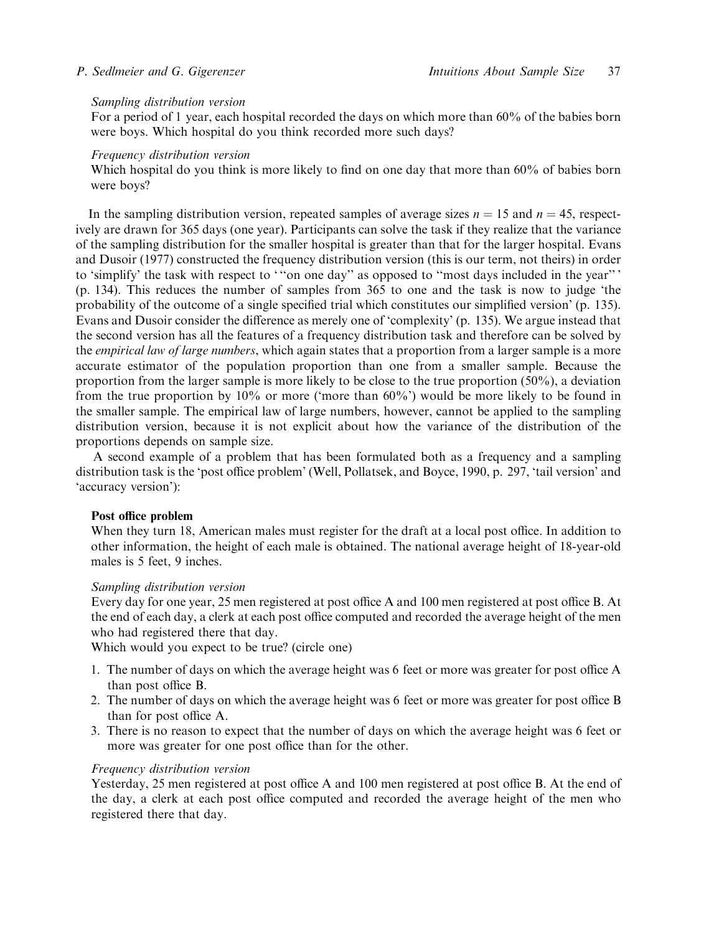# Sampling distribution version

For a period of 1 year, each hospital recorded the days on which more than 60% of the babies born were boys. Which hospital do you think recorded more such days?

# Frequency distribution version

Which hospital do you think is more likely to find on one day that more than  $60\%$  of babies born were boys?

In the sampling distribution version, repeated samples of average sizes  $n = 15$  and  $n = 45$ , respectively are drawn for 365 days (one year). Participants can solve the task if they realize that the variance of the sampling distribution for the smaller hospital is greater than that for the larger hospital. Evans and Dusoir (1977) constructed the frequency distribution version (this is our term, not theirs) in order to 'simplify' the task with respect to '"on one day" as opposed to "most days included in the year"' (p. 134). This reduces the number of samples from 365 to one and the task is now to judge `the probability of the outcome of a single specified trial which constitutes our simplified version' (p. 135). Evans and Dusoir consider the difference as merely one of 'complexity' (p. 135). We argue instead that the second version has all the features of a frequency distribution task and therefore can be solved by the *empirical law of large numbers*, which again states that a proportion from a larger sample is a more accurate estimator of the population proportion than one from a smaller sample. Because the proportion from the larger sample is more likely to be close to the true proportion  $(50\%)$ , a deviation from the true proportion by  $10\%$  or more ('more than  $60\%$ ') would be more likely to be found in the smaller sample. The empirical law of large numbers, however, cannot be applied to the sampling distribution version, because it is not explicit about how the variance of the distribution of the proportions depends on sample size.

A second example of a problem that has been formulated both as a frequency and a sampling distribution task is the 'post office problem' (Well, Pollatsek, and Boyce, 1990, p. 297, 'tail version' and `accuracy version'):

# Post office problem

When they turn 18, American males must register for the draft at a local post office. In addition to other information, the height of each male is obtained. The national average height of 18-year-old males is 5 feet, 9 inches.

### Sampling distribution version

Every day for one year, 25 men registered at post office A and 100 men registered at post office B. At the end of each day, a clerk at each post office computed and recorded the average height of the men who had registered there that day.

Which would you expect to be true? (circle one)

- 1. The number of days on which the average height was 6 feet or more was greater for post office A than post office B.
- 2. The number of days on which the average height was 6 feet or more was greater for post office B than for post office A.
- 3. There is no reason to expect that the number of days on which the average height was 6 feet or more was greater for one post office than for the other.

### Frequency distribution version

Yesterday, 25 men registered at post office A and  $100$  men registered at post office B. At the end of the day, a clerk at each post office computed and recorded the average height of the men who registered there that day.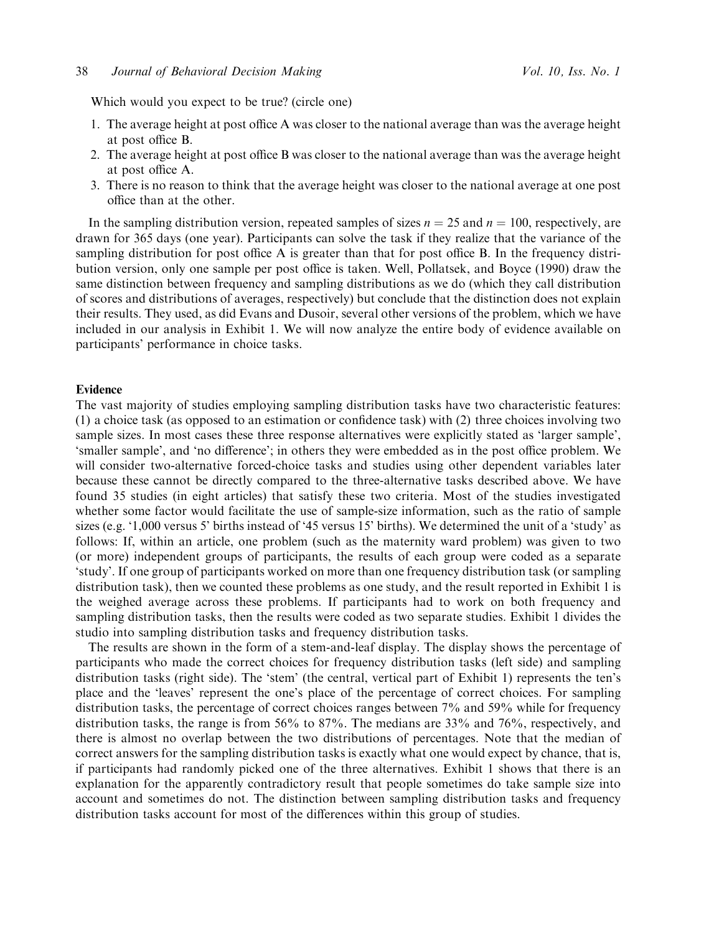Which would you expect to be true? (circle one)

- 1. The average height at post office A was closer to the national average than was the average height at post office B.
- 2. The average height at post office B was closer to the national average than was the average height at post office A.
- 3. There is no reason to think that the average height was closer to the national average at one post office than at the other.

In the sampling distribution version, repeated samples of sizes  $n = 25$  and  $n = 100$ , respectively, are drawn for 365 days (one year). Participants can solve the task if they realize that the variance of the sampling distribution for post office A is greater than that for post office B. In the frequency distribution version, only one sample per post office is taken. Well, Pollatsek, and Boyce (1990) draw the same distinction between frequency and sampling distributions as we do (which they call distribution of scores and distributions of averages, respectively) but conclude that the distinction does not explain their results. They used, as did Evans and Dusoir, several other versions of the problem, which we have included in our analysis in Exhibit 1. We will now analyze the entire body of evidence available on participants' performance in choice tasks.

#### Evidence

The vast majority of studies employing sampling distribution tasks have two characteristic features:  $(1)$  a choice task (as opposed to an estimation or confidence task) with  $(2)$  three choices involving two sample sizes. In most cases these three response alternatives were explicitly stated as 'larger sample', 'smaller sample', and 'no difference'; in others they were embedded as in the post office problem. We will consider two-alternative forced-choice tasks and studies using other dependent variables later because these cannot be directly compared to the three-alternative tasks described above. We have found 35 studies (in eight articles) that satisfy these two criteria. Most of the studies investigated whether some factor would facilitate the use of sample-size information, such as the ratio of sample sizes (e.g. '1,000 versus 5' births instead of '45 versus 15' births). We determined the unit of a 'study' as follows: If, within an article, one problem (such as the maternity ward problem) was given to two (or more) independent groups of participants, the results of each group were coded as a separate `study'. If one group of participants worked on more than one frequency distribution task (or sampling distribution task), then we counted these problems as one study, and the result reported in Exhibit 1 is the weighed average across these problems. If participants had to work on both frequency and sampling distribution tasks, then the results were coded as two separate studies. Exhibit 1 divides the studio into sampling distribution tasks and frequency distribution tasks.

The results are shown in the form of a stem-and-leaf display. The display shows the percentage of participants who made the correct choices for frequency distribution tasks (left side) and sampling distribution tasks (right side). The `stem' (the central, vertical part of Exhibit 1) represents the ten's place and the `leaves' represent the one's place of the percentage of correct choices. For sampling distribution tasks, the percentage of correct choices ranges between 7% and 59% while for frequency distribution tasks, the range is from 56% to 87%. The medians are 33% and 76%, respectively, and there is almost no overlap between the two distributions of percentages. Note that the median of correct answers for the sampling distribution tasks is exactly what one would expect by chance, that is, if participants had randomly picked one of the three alternatives. Exhibit 1 shows that there is an explanation for the apparently contradictory result that people sometimes do take sample size into account and sometimes do not. The distinction between sampling distribution tasks and frequency distribution tasks account for most of the differences within this group of studies.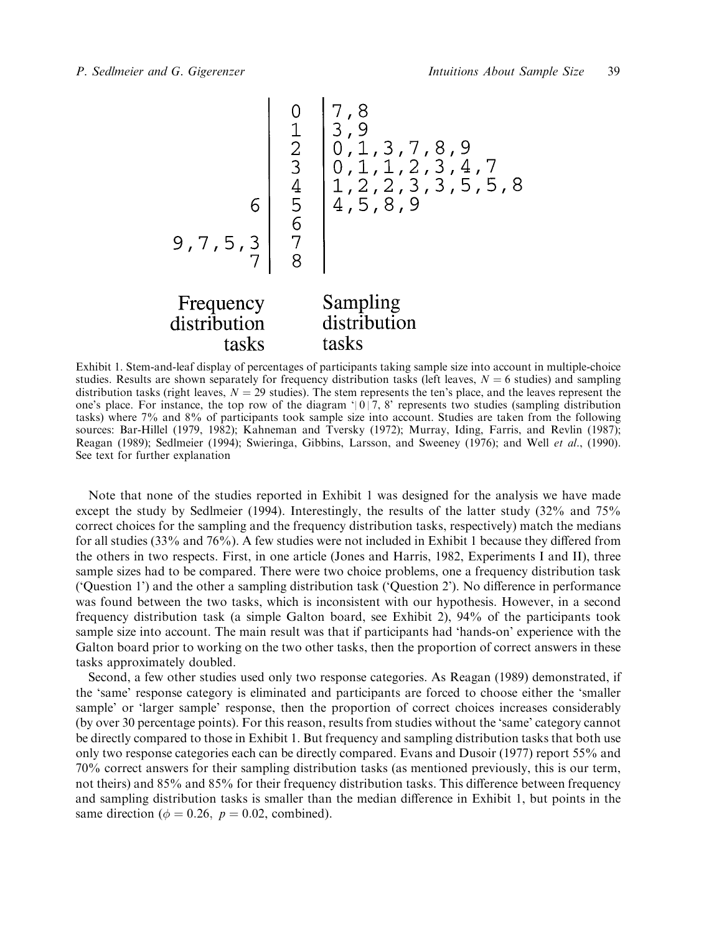Exhibit 1. Stem-and-leaf display of percentages of participants taking sample size into account in multiple-choice studies. Results are shown separately for frequency distribution tasks (left leaves,  $N = 6$  studies) and sampling distribution tasks (right leaves,  $N = 29$  studies). The stem represents the ten's place, and the leaves represent the one's place. For instance, the top row of the diagram  $\{0, 7, 8\}$  represents two studies (sampling distribution tasks) where 7% and 8% of participants took sample size into account. Studies are taken from the following sources: Bar-Hillel (1979, 1982); Kahneman and Tversky (1972); Murray, Iding, Farris, and Revlin (1987); Reagan (1989); Sedlmeier (1994); Swieringa, Gibbins, Larsson, and Sweeney (1976); and Well et al., (1990). See text for further explanation

Note that none of the studies reported in Exhibit 1 was designed for the analysis we have made except the study by Sedlmeier (1994). Interestingly, the results of the latter study (32% and 75% correct choices for the sampling and the frequency distribution tasks, respectively) match the medians for all studies  $(33\%$  and  $76\%)$ . A few studies were not included in Exhibit 1 because they differed from the others in two respects. First, in one article (Jones and Harris, 1982, Experiments I and II), three sample sizes had to be compared. There were two choice problems, one a frequency distribution task (`Question 1') and the other a sampling distribution task (`Question 2'). No dierence in performance was found between the two tasks, which is inconsistent with our hypothesis. However, in a second frequency distribution task (a simple Galton board, see Exhibit 2), 94% of the participants took sample size into account. The main result was that if participants had 'hands-on' experience with the Galton board prior to working on the two other tasks, then the proportion of correct answers in these tasks approximately doubled.

Second, a few other studies used only two response categories. As Reagan (1989) demonstrated, if the `same' response category is eliminated and participants are forced to choose either the `smaller sample' or 'larger sample' response, then the proportion of correct choices increases considerably (by over 30 percentage points). For this reason, results from studies without the `same' category cannot be directly compared to those in Exhibit 1. But frequency and sampling distribution tasks that both use only two response categories each can be directly compared. Evans and Dusoir (1977) report 55% and 70% correct answers for their sampling distribution tasks (as mentioned previously, this is our term, not theirs) and  $85\%$  and  $85\%$  for their frequency distribution tasks. This difference between frequency and sampling distribution tasks is smaller than the median difference in Exhibit 1, but points in the same direction ( $\phi = 0.26$ ,  $p = 0.02$ , combined).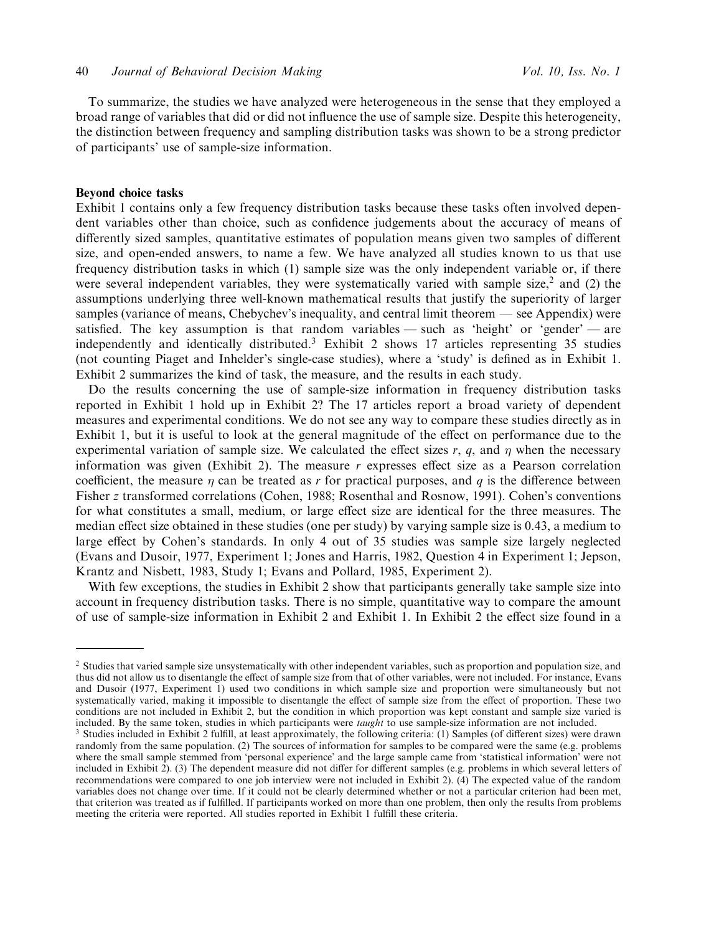To summarize, the studies we have analyzed were heterogeneous in the sense that they employed a broad range of variables that did or did not influence the use of sample size. Despite this heterogeneity, the distinction between frequency and sampling distribution tasks was shown to be a strong predictor of participants' use of sample-size information.

# Beyond choice tasks

Exhibit 1 contains only a few frequency distribution tasks because these tasks often involved dependent variables other than choice, such as confidence judgements about the accuracy of means of differently sized samples, quantitative estimates of population means given two samples of different size, and open-ended answers, to name a few. We have analyzed all studies known to us that use frequency distribution tasks in which (1) sample size was the only independent variable or, if there were several independent variables, they were systematically varied with sample size,<sup>2</sup> and (2) the assumptions underlying three well-known mathematical results that justify the superiority of larger samples (variance of means, Chebychev's inequality, and central limit theorem — see Appendix) were satisfied. The key assumption is that random variables  $-$  such as 'height' or 'gender'  $-$  are independently and identically distributed. <sup>3</sup> Exhibit 2 shows 17 articles representing 35 studies (not counting Piaget and Inhelder's single-case studies), where a 'study' is defined as in Exhibit 1. Exhibit 2 summarizes the kind of task, the measure, and the results in each study.

Do the results concerning the use of sample-size information in frequency distribution tasks reported in Exhibit 1 hold up in Exhibit 2? The 17 articles report a broad variety of dependent measures and experimental conditions. We do not see any way to compare these studies directly as in Exhibit 1, but it is useful to look at the general magnitude of the effect on performance due to the experimental variation of sample size. We calculated the effect sizes r, q, and  $\eta$  when the necessary information was given (Exhibit 2). The measure  $r$  expresses effect size as a Pearson correlation coefficient, the measure  $\eta$  can be treated as r for practical purposes, and  $q$  is the difference between Fisher z transformed correlations (Cohen, 1988; Rosenthal and Rosnow, 1991). Cohen's conventions for what constitutes a small, medium, or large effect size are identical for the three measures. The median effect size obtained in these studies (one per study) by varying sample size is 0.43, a medium to large effect by Cohen's standards. In only 4 out of 35 studies was sample size largely neglected (Evans and Dusoir, 1977, Experiment 1; Jones and Harris, 1982, Question 4 in Experiment 1; Jepson, Krantz and Nisbett, 1983, Study 1; Evans and Pollard, 1985, Experiment 2).

With few exceptions, the studies in Exhibit 2 show that participants generally take sample size into account in frequency distribution tasks. There is no simple, quantitative way to compare the amount of use of sample-size information in Exhibit 2 and Exhibit 1. In Exhibit 2 the effect size found in a

<sup>&</sup>lt;sup>2</sup> Studies that varied sample size unsystematically with other independent variables, such as proportion and population size, and thus did not allow us to disentangle the effect of sample size from that of other variables, were not included. For instance, Evans and Dusoir (1977, Experiment 1) used two conditions in which sample size and proportion were simultaneously but not systematically varied, making it impossible to disentangle the effect of sample size from the effect of proportion. These two conditions are not included in Exhibit 2, but the condition in which proportion was kept constant and sample size varied is included. By the same token, studies in which participants were *taught* to use sample-size inform

<sup>&</sup>lt;sup>3</sup> Studies included in Exhibit 2 fulfill, at least approximately, the following criteria: (1) Samples (of different sizes) were drawn randomly from the same population. (2) The sources of information for samples to be compared were the same (e.g. problems where the small sample stemmed from 'personal experience' and the large sample came from 'statistical information' were not included in Exhibit 2). (3) The dependent measure did not differ for different samples (e.g. problems in which several letters of recommendations were compared to one job interview were not included in Exhibit 2). (4) The expected value of the random variables does not change over time. If it could not be clearly determined whether or not a particular criterion had been met, that criterion was treated as if fulfilled. If participants worked on more than one problem, then only the results from problems meeting the criteria were reported. All studies reported in Exhibit 1 fulfill these criteria.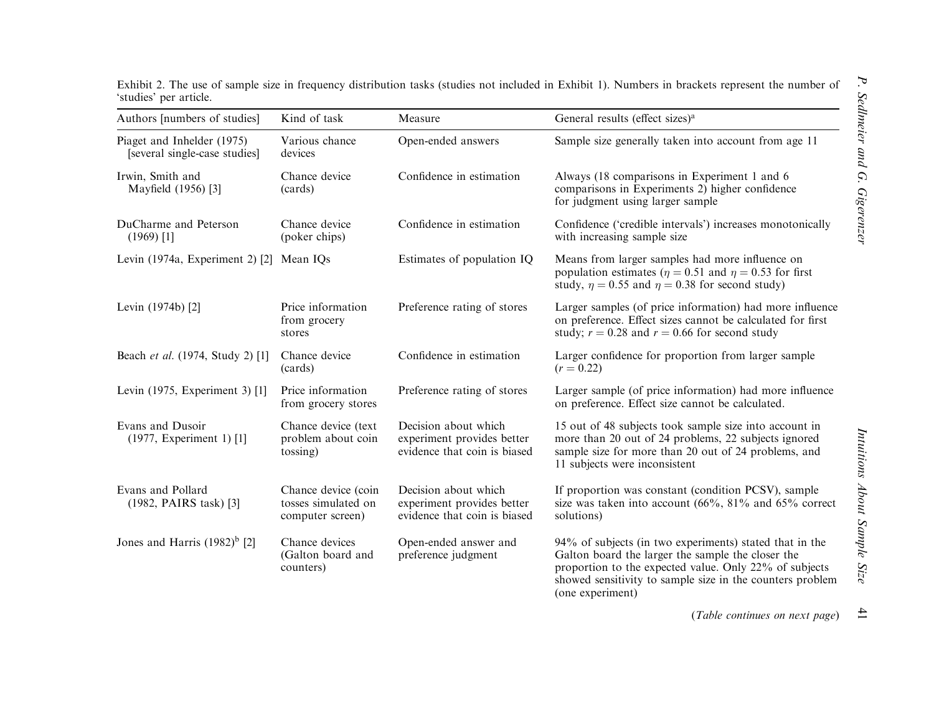| Authors [numbers of studies]                                | Kind of task                                                   | Measure                                                                            | General results (effect sizes) <sup>a</sup>                                                                                                                                                                                                             |
|-------------------------------------------------------------|----------------------------------------------------------------|------------------------------------------------------------------------------------|---------------------------------------------------------------------------------------------------------------------------------------------------------------------------------------------------------------------------------------------------------|
| Piaget and Inhelder (1975)<br>[several single-case studies] | Various chance<br>devices                                      | Open-ended answers                                                                 | Sample size generally taken into account from age 11                                                                                                                                                                                                    |
| Irwin, Smith and<br>Mayfield (1956) [3]                     | Chance device<br>(cards)                                       | Confidence in estimation                                                           | Always (18 comparisons in Experiment 1 and 6<br>comparisons in Experiments 2) higher confidence<br>for judgment using larger sample                                                                                                                     |
| DuCharme and Peterson<br>$(1969)$ [1]                       | Chance device<br>(poker chips)                                 | Confidence in estimation                                                           | Confidence ('credible intervals') increases monotonically<br>with increasing sample size                                                                                                                                                                |
| Levin (1974a, Experiment 2) [2] Mean IQs                    |                                                                | Estimates of population IQ                                                         | Means from larger samples had more influence on<br>population estimates ( $\eta = 0.51$ and $\eta = 0.53$ for first<br>study, $\eta = 0.55$ and $\eta = 0.38$ for second study)                                                                         |
| Levin (1974b) [2]                                           | Price information<br>from grocery<br>stores                    | Preference rating of stores                                                        | Larger samples (of price information) had more influence<br>on preference. Effect sizes cannot be calculated for first<br>study; $r = 0.28$ and $r = 0.66$ for second study                                                                             |
| Beach et al. (1974, Study 2) [1]                            | Chance device<br>(cards)                                       | Confidence in estimation                                                           | Larger confidence for proportion from larger sample<br>$(r = 0.22)$                                                                                                                                                                                     |
| Levin $(1975,$ Experiment 3) [1]                            | Price information<br>from grocery stores                       | Preference rating of stores                                                        | Larger sample (of price information) had more influence<br>on preference. Effect size cannot be calculated.                                                                                                                                             |
| Evans and Dusoir<br>(1977, Experiment 1) [1]                | Chance device (text)<br>problem about coin<br>tossing)         | Decision about which<br>experiment provides better<br>evidence that coin is biased | 15 out of 48 subjects took sample size into account in<br>more than 20 out of 24 problems, 22 subjects ignored<br>sample size for more than 20 out of 24 problems, and<br>11 subjects were inconsistent                                                 |
| Evans and Pollard<br>(1982, PAIRS task) [3]                 | Chance device (coin<br>tosses simulated on<br>computer screen) | Decision about which<br>experiment provides better<br>evidence that coin is biased | If proportion was constant (condition PCSV), sample<br>size was taken into account $(66\%, 81\%$ and $65\%$ correct<br>solutions)                                                                                                                       |
| Jones and Harris $(1982)^b$ [2]                             | Chance devices<br>(Galton board and<br>counters)               | Open-ended answer and<br>preference judgment                                       | 94% of subjects (in two experiments) stated that in the<br>Galton board the larger the sample the closer the<br>proportion to the expected value. Only 22% of subjects<br>showed sensitivity to sample size in the counters problem<br>(one experiment) |

Exhibit 2. The use of sample size in frequency distribution tasks (studies not included in Exhibit 1). Numbers in brackets represent the number of `studies' per article.

(Table continues on next page)

Intuitions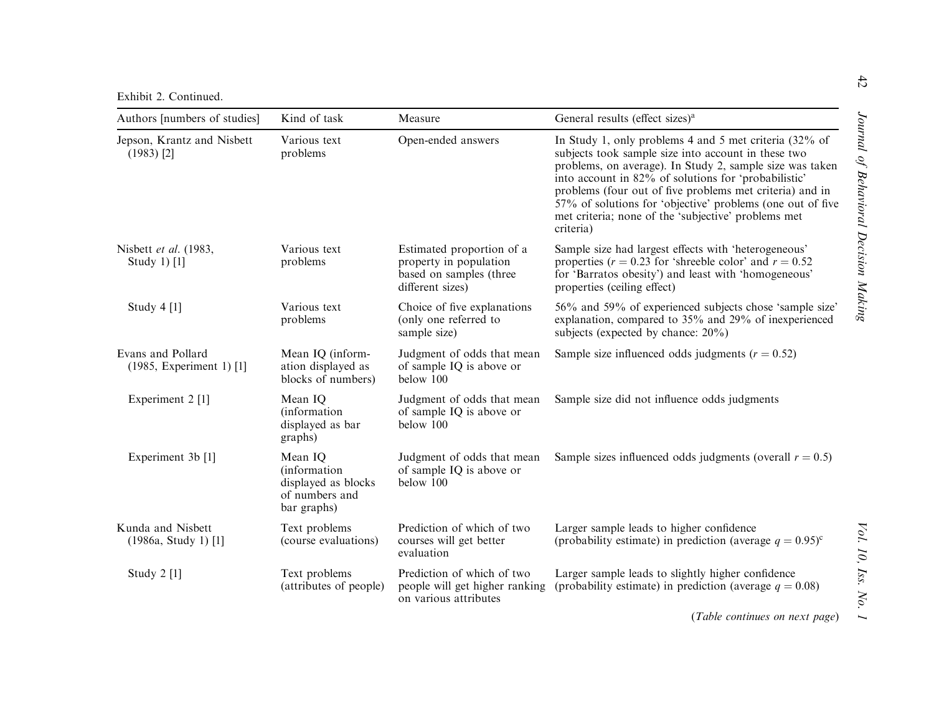Exhibit 2. Continued.

| Authors [numbers of studies]                    | Kind of task                                                                    | Measure                                                                                            | General results (effect sizes) <sup>a</sup>                                                                                                                                                                                                                                                                                                                                                                                     |
|-------------------------------------------------|---------------------------------------------------------------------------------|----------------------------------------------------------------------------------------------------|---------------------------------------------------------------------------------------------------------------------------------------------------------------------------------------------------------------------------------------------------------------------------------------------------------------------------------------------------------------------------------------------------------------------------------|
| Jepson, Krantz and Nisbett<br>$(1983)$ [2]      | Various text<br>problems                                                        | Open-ended answers                                                                                 | In Study 1, only problems 4 and 5 met criteria (32% of<br>subjects took sample size into account in these two<br>problems, on average). In Study 2, sample size was taken<br>into account in 82% of solutions for 'probabilistic'<br>problems (four out of five problems met criteria) and in<br>57% of solutions for 'objective' problems (one out of five<br>met criteria; none of the 'subjective' problems met<br>criteria) |
| Nisbett et al. (1983,<br>Study 1) [1]           | Various text<br>problems                                                        | Estimated proportion of a<br>property in population<br>based on samples (three<br>different sizes) | Sample size had largest effects with 'heterogeneous'<br>properties ( $r = 0.23$ for 'shreeble color' and $r = 0.52$<br>for 'Barratos obesity') and least with 'homogeneous'<br>properties (ceiling effect)                                                                                                                                                                                                                      |
| Study $4$ [1]                                   | Various text<br>problems                                                        | Choice of five explanations<br>(only one referred to<br>sample size)                               | 56% and 59% of experienced subjects chose 'sample size'<br>explanation, compared to 35% and 29% of inexperienced<br>subjects (expected by chance: $20\%$ )                                                                                                                                                                                                                                                                      |
| Evans and Pollard<br>$(1985, Experiment 1)$ [1] | Mean IQ (inform-<br>ation displayed as<br>blocks of numbers)                    | Judgment of odds that mean<br>of sample IQ is above or<br>below 100                                | Sample size influenced odds judgments ( $r = 0.52$ )                                                                                                                                                                                                                                                                                                                                                                            |
| Experiment 2 [1]                                | Mean IQ<br><i>(information)</i><br>displayed as bar<br>graphs)                  | Judgment of odds that mean<br>of sample IQ is above or<br>below 100                                | Sample size did not influence odds judgments                                                                                                                                                                                                                                                                                                                                                                                    |
| Experiment 3b [1]                               | Mean IQ<br>(information<br>displayed as blocks<br>of numbers and<br>bar graphs) | Judgment of odds that mean<br>of sample IQ is above or<br>below 100                                | Sample sizes influenced odds judgments (overall $r = 0.5$ )                                                                                                                                                                                                                                                                                                                                                                     |
| Kunda and Nisbett<br>(1986a, Study 1) [1]       | Text problems<br>(course evaluations)                                           | Prediction of which of two<br>courses will get better<br>evaluation                                | Larger sample leads to higher confidence<br>(probability estimate) in prediction (average $q = 0.95$ ) <sup>c</sup>                                                                                                                                                                                                                                                                                                             |
| Study $2$ [1]                                   | Text problems<br>(attributes of people)                                         | Prediction of which of two<br>people will get higher ranking<br>on various attributes              | Larger sample leads to slightly higher confidence<br>(probability estimate) in prediction (average $q = 0.08$ )                                                                                                                                                                                                                                                                                                                 |

Vol. 10, Iss. No.

 $42$ 

 $\overline{\phantom{0}}$ (Table continues on next page)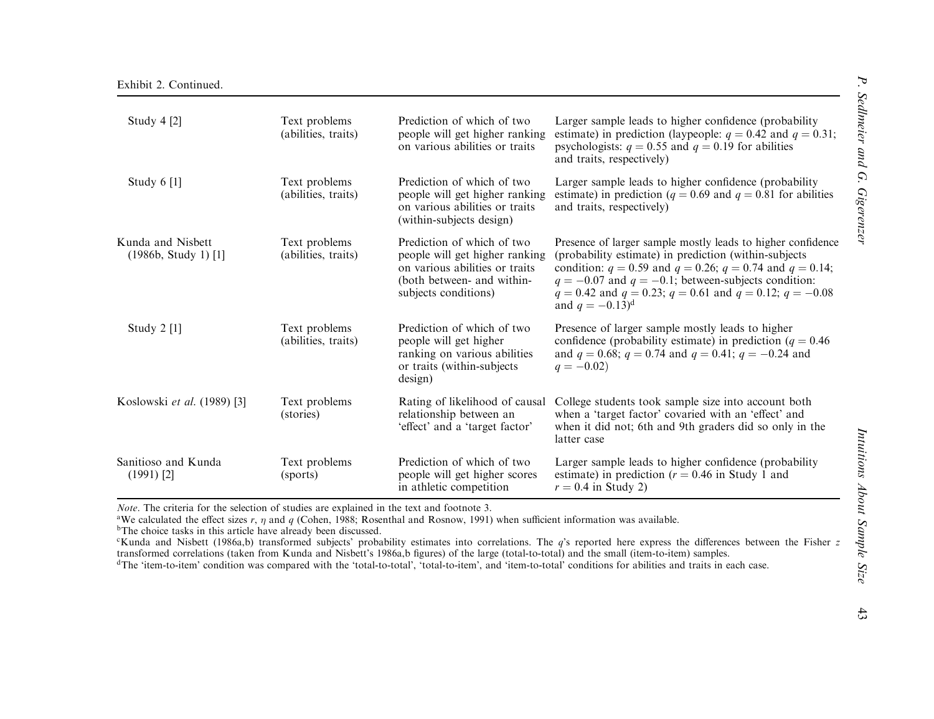| Study $4$ [2]                             | Text problems<br>(abilities, traits) | Prediction of which of two<br>people will get higher ranking<br>on various abilities or traits                                                       | Larger sample leads to higher confidence (probability<br>estimate) in prediction (laypeople: $q = 0.42$ and $q = 0.31$ ;<br>psychologists: $q = 0.55$ and $q = 0.19$ for abilities<br>and traits, respectively)                                                                                                                                               |
|-------------------------------------------|--------------------------------------|------------------------------------------------------------------------------------------------------------------------------------------------------|---------------------------------------------------------------------------------------------------------------------------------------------------------------------------------------------------------------------------------------------------------------------------------------------------------------------------------------------------------------|
| Study $6$ [1]                             | Text problems<br>(abilities, traits) | Prediction of which of two<br>people will get higher ranking<br>on various abilities or traits<br>(within-subjects design)                           | Larger sample leads to higher confidence (probability<br>estimate) in prediction ( $q = 0.69$ and $q = 0.81$ for abilities<br>and traits, respectively)                                                                                                                                                                                                       |
| Kunda and Nisbett<br>(1986b, Study 1) [1] | Text problems<br>(abilities, traits) | Prediction of which of two<br>people will get higher ranking<br>on various abilities or traits<br>(both between- and within-<br>subjects conditions) | Presence of larger sample mostly leads to higher confidence<br>(probability estimate) in prediction (within-subjects<br>condition: $q = 0.59$ and $q = 0.26$ ; $q = 0.74$ and $q = 0.14$ ;<br>$q = -0.07$ and $q = -0.1$ ; between-subjects condition:<br>$q = 0.42$ and $q = 0.23$ ; $q = 0.61$ and $q = 0.12$ ; $q = -0.08$<br>and $q = -0.13$ <sup>d</sup> |
| Study 2 [1]                               | Text problems<br>(abilities, traits) | Prediction of which of two<br>people will get higher<br>ranking on various abilities<br>or traits (within-subjects)<br>design)                       | Presence of larger sample mostly leads to higher<br>confidence (probability estimate) in prediction ( $q = 0.46$ )<br>and $q = 0.68$ ; $q = 0.74$ and $q = 0.41$ ; $q = -0.24$ and<br>$q = -0.02$                                                                                                                                                             |
| Koslowski et al. (1989) [3]               | Text problems<br>(stories)           | Rating of likelihood of causal<br>relationship between an<br>'effect' and a 'target factor'                                                          | College students took sample size into account both<br>when a 'target factor' covaried with an 'effect' and<br>when it did not; 6th and 9th graders did so only in the<br>latter case                                                                                                                                                                         |
| Sanitioso and Kunda<br>$(1991)$ [2]       | Text problems<br>(sports)            | Prediction of which of two<br>people will get higher scores<br>in athletic competition                                                               | Larger sample leads to higher confidence (probability<br>estimate) in prediction ( $r = 0.46$ in Study 1 and<br>$r = 0.4$ in Study 2)                                                                                                                                                                                                                         |

*Note*. The criteria for the selection of studies are explained in the text and footnote 3.

<sup>a</sup>We calculated the effect sizes r,  $\eta$  and q (Cohen, 1988; Rosenthal and Rosnow, 1991) when sufficient information was available.

<sup>b</sup>The choice tasks in this article have already been discussed.

<sup>c</sup>Kunda and Nisbett (1986a,b) transformed subjects' probability estimates into correlations. The *q*'s reported here express the differences between the Fisher z transformed correlations (taken from Kunda and Nisbett's 1986a,b figures) of the large (total-to-total) and the small (item-to-item) samples.

<sup>d</sup>The 'item-to-item' condition was compared with the 'total-to-total', 'total-to-item', and 'item-to-total' conditions for abilities and traits in each case.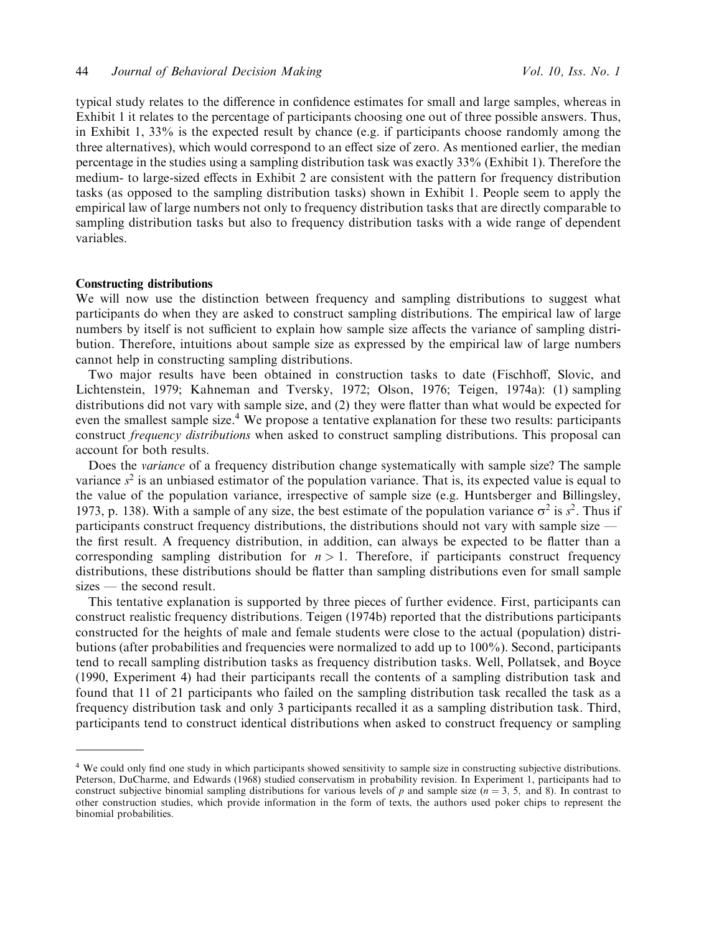typical study relates to the difference in confidence estimates for small and large samples, whereas in Exhibit 1 it relates to the percentage of participants choosing one out of three possible answers. Thus, in Exhibit 1, 33% is the expected result by chance (e.g. if participants choose randomly among the three alternatives), which would correspond to an effect size of zero. As mentioned earlier, the median percentage in the studies using a sampling distribution task was exactly 33% (Exhibit 1). Therefore the medium- to large-sized effects in Exhibit 2 are consistent with the pattern for frequency distribution tasks (as opposed to the sampling distribution tasks) shown in Exhibit 1. People seem to apply the empirical law of large numbers not only to frequency distribution tasks that are directly comparable to sampling distribution tasks but also to frequency distribution tasks with a wide range of dependent variables.

### Constructing distributions

We will now use the distinction between frequency and sampling distributions to suggest what participants do when they are asked to construct sampling distributions. The empirical law of large numbers by itself is not sufficient to explain how sample size affects the variance of sampling distribution. Therefore, intuitions about sample size as expressed by the empirical law of large numbers cannot help in constructing sampling distributions.

Two major results have been obtained in construction tasks to date (Fischhoff, Slovic, and Lichtenstein, 1979; Kahneman and Tversky, 1972; Olson, 1976; Teigen, 1974a): (1) sampling distributions did not vary with sample size, and (2) they were flatter than what would be expected for even the smallest sample size.<sup>4</sup> We propose a tentative explanation for these two results: participants construct *frequency distributions* when asked to construct sampling distributions. This proposal can account for both results.

Does the variance of a frequency distribution change systematically with sample size? The sample variance  $s<sup>2</sup>$  is an unbiased estimator of the population variance. That is, its expected value is equal to the value of the population variance, irrespective of sample size (e.g. Huntsberger and Billingsley, 1973, p. 138). With a sample of any size, the best estimate of the population variance  $\sigma^2$  is  $s^2$ . Thus if participants construct frequency distributions, the distributions should not vary with sample size  $\overline{\phantom{a}}$ the first result. A frequency distribution, in addition, can always be expected to be flatter than a corresponding sampling distribution for  $n > 1$ . Therefore, if participants construct frequency distributions, these distributions should be flatter than sampling distributions even for small sample  $sizes$   $-$  the second result.

This tentative explanation is supported by three pieces of further evidence. First, participants can construct realistic frequency distributions. Teigen (1974b) reported that the distributions participants constructed for the heights of male and female students were close to the actual (population) distributions (after probabilities and frequencies were normalized to add up to 100%). Second, participants tend to recall sampling distribution tasks as frequency distribution tasks. Well, Pollatsek, and Boyce (1990, Experiment 4) had their participants recall the contents of a sampling distribution task and found that 11 of 21 participants who failed on the sampling distribution task recalled the task as a frequency distribution task and only 3 participants recalled it as a sampling distribution task. Third, participants tend to construct identical distributions when asked to construct frequency or sampling

<sup>&</sup>lt;sup>4</sup> We could only find one study in which participants showed sensitivity to sample size in constructing subjective distributions. Peterson, DuCharme, and Edwards (1968) studied conservatism in probability revision. In Experiment 1, participants had to construct subjective binomial sampling distributions for various levels of p and sample size  $(n = 3, 5, \text{ and } 8)$ . In contrast to other construction studies, which provide information in the form of texts, the authors used poker chips to represent the binomial probabilities.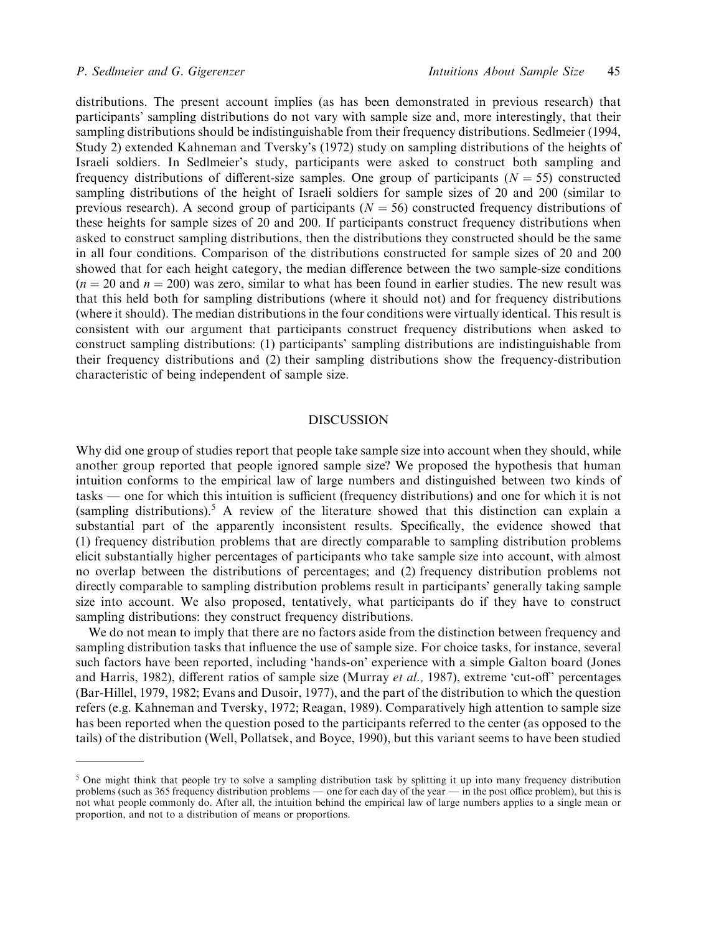distributions. The present account implies (as has been demonstrated in previous research) that participants' sampling distributions do not vary with sample size and, more interestingly, that their sampling distributions should be indistinguishable from their frequency distributions. Sedlmeier (1994, Study 2) extended Kahneman and Tversky's (1972) study on sampling distributions of the heights of Israeli soldiers. In Sedlmeier's study, participants were asked to construct both sampling and frequency distributions of different-size samples. One group of participants  $(N = 55)$  constructed sampling distributions of the height of Israeli soldiers for sample sizes of 20 and 200 (similar to previous research). A second group of participants ( $N = 56$ ) constructed frequency distributions of these heights for sample sizes of 20 and 200. If participants construct frequency distributions when asked to construct sampling distributions, then the distributions they constructed should be the same in all four conditions. Comparison of the distributions constructed for sample sizes of 20 and 200 showed that for each height category, the median difference between the two sample-size conditions  $(n = 20$  and  $n = 200)$  was zero, similar to what has been found in earlier studies. The new result was that this held both for sampling distributions (where it should not) and for frequency distributions (where it should). The median distributions in the four conditions were virtually identical. This result is consistent with our argument that participants construct frequency distributions when asked to construct sampling distributions: (1) participants' sampling distributions are indistinguishable from their frequency distributions and (2) their sampling distributions show the frequency-distribution characteristic of being independent of sample size.

### DISCUSSION

Why did one group of studies report that people take sample size into account when they should, while another group reported that people ignored sample size? We proposed the hypothesis that human intuition conforms to the empirical law of large numbers and distinguished between two kinds of tasks  $\overline{\phantom{a}}$  one for which this intuition is sufficient (frequency distributions) and one for which it is not (sampling distributions).<sup>5</sup> A review of the literature showed that this distinction can explain a substantial part of the apparently inconsistent results. Specifically, the evidence showed that (1) frequency distribution problems that are directly comparable to sampling distribution problems elicit substantially higher percentages of participants who take sample size into account, with almost no overlap between the distributions of percentages; and (2) frequency distribution problems not directly comparable to sampling distribution problems result in participants' generally taking sample size into account. We also proposed, tentatively, what participants do if they have to construct sampling distributions: they construct frequency distributions.

We do not mean to imply that there are no factors aside from the distinction between frequency and sampling distribution tasks that influence the use of sample size. For choice tasks, for instance, several such factors have been reported, including 'hands-on' experience with a simple Galton board (Jones and Harris, 1982), different ratios of sample size (Murray *et al.*, 1987), extreme 'cut-off' percentages (Bar-Hillel, 1979, 1982; Evans and Dusoir, 1977), and the part of the distribution to which the question refers (e.g. Kahneman and Tversky, 1972; Reagan, 1989). Comparatively high attention to sample size has been reported when the question posed to the participants referred to the center (as opposed to the tails) of the distribution (Well, Pollatsek, and Boyce, 1990), but this variant seems to have been studied

<sup>&</sup>lt;sup>5</sup> One might think that people try to solve a sampling distribution task by splitting it up into many frequency distribution problems (such as 365 frequency distribution problems — one for each day of the year — in the post office problem), but this is not what people commonly do. After all, the intuition behind the empirical law of large numbers applies to a single mean or proportion, and not to a distribution of means or proportions.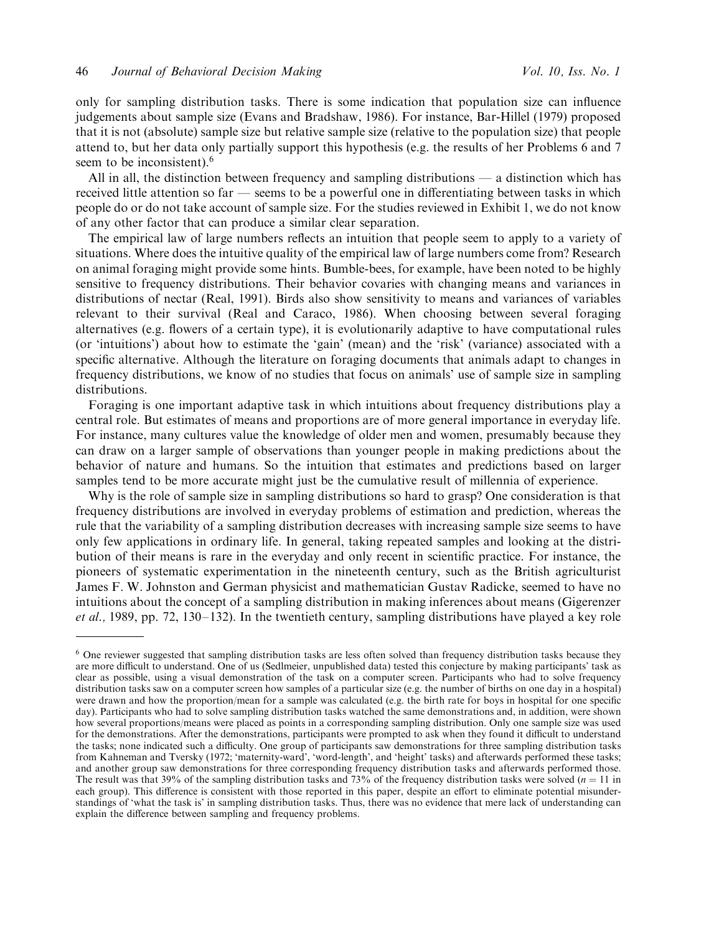only for sampling distribution tasks. There is some indication that population size can influence judgements about sample size (Evans and Bradshaw, 1986). For instance, Bar-Hillel (1979) proposed that it is not (absolute) sample size but relative sample size (relative to the population size) that people attend to, but her data only partially support this hypothesis (e.g. the results of her Problems 6 and 7 seem to be inconsistent).<sup>6</sup>

All in all, the distinction between frequency and sampling distributions  $\overline{\phantom{a}}$  a distinction which has received little attention so far — seems to be a powerful one in differentiating between tasks in which people do or do not take account of sample size. For the studies reviewed in Exhibit 1, we do not know of any other factor that can produce a similar clear separation.

The empirical law of large numbers reflects an intuition that people seem to apply to a variety of situations. Where does the intuitive quality of the empirical law of large numbers come from? Research on animal foraging might provide some hints. Bumble-bees, for example, have been noted to be highly sensitive to frequency distributions. Their behavior covaries with changing means and variances in distributions of nectar (Real, 1991). Birds also show sensitivity to means and variances of variables relevant to their survival (Real and Caraco, 1986). When choosing between several foraging alternatives (e.g. flowers of a certain type), it is evolutionarily adaptive to have computational rules (or `intuitions') about how to estimate the `gain' (mean) and the `risk' (variance) associated with a specific alternative. Although the literature on foraging documents that animals adapt to changes in frequency distributions, we know of no studies that focus on animals' use of sample size in sampling distributions.

Foraging is one important adaptive task in which intuitions about frequency distributions play a central role. But estimates of means and proportions are of more general importance in everyday life. For instance, many cultures value the knowledge of older men and women, presumably because they can draw on a larger sample of observations than younger people in making predictions about the behavior of nature and humans. So the intuition that estimates and predictions based on larger samples tend to be more accurate might just be the cumulative result of millennia of experience.

Why is the role of sample size in sampling distributions so hard to grasp? One consideration is that frequency distributions are involved in everyday problems of estimation and prediction, whereas the rule that the variability of a sampling distribution decreases with increasing sample size seems to have only few applications in ordinary life. In general, taking repeated samples and looking at the distribution of their means is rare in the everyday and only recent in scientific practice. For instance, the pioneers of systematic experimentation in the nineteenth century, such as the British agriculturist James F. W. Johnston and German physicist and mathematician Gustav Radicke, seemed to have no intuitions about the concept of a sampling distribution in making inferences about means (Gigerenzer  $et al., 1989, pp. 72, 130–132$ . In the twentieth century, sampling distributions have played a key role

<sup>&</sup>lt;sup>6</sup> One reviewer suggested that sampling distribution tasks are less often solved than frequency distribution tasks because they are more difficult to understand. One of us (Sedlmeier, unpublished data) tested this conjecture by making participants' task as clear as possible, using a visual demonstration of the task on a computer screen. Participants who had to solve frequency distribution tasks saw on a computer screen how samples of a particular size (e.g. the number of births on one day in a hospital) were drawn and how the proportion/mean for a sample was calculated (e.g. the birth rate for boys in hospital for one specific day). Participants who had to solve sampling distribution tasks watched the same demonstrations and, in addition, were shown how several proportions/means were placed as points in a corresponding sampling distribution. Only one sample size was used for the demonstrations. After the demonstrations, participants were prompted to ask when they found it difficult to understand the tasks; none indicated such a difficulty. One group of participants saw demonstrations for three sampling distribution tasks from Kahneman and Tversky (1972; `maternity-ward', `word-length', and `height' tasks) and afterwards performed these tasks; and another group saw demonstrations for three corresponding frequency distribution tasks and afterwards performed those. The result was that 39% of the sampling distribution tasks and  $\frac{73\%}{6}$  of the frequency distribution tasks were solved  $(n = 11 \text{ in } 11)$ each group). This difference is consistent with those reported in this paper, despite an effort to eliminate potential misunderstandings of 'what the task is' in sampling distribution tasks. Thus, there was no evidence that mere lack of understanding can explain the difference between sampling and frequency problems.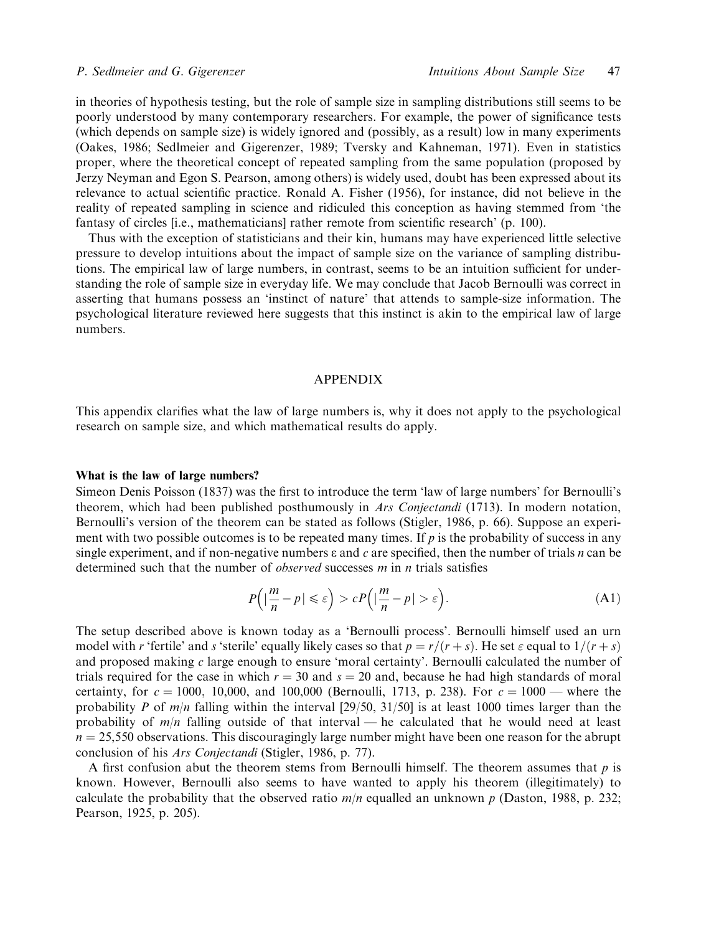in theories of hypothesis testing, but the role of sample size in sampling distributions still seems to be poorly understood by many contemporary researchers. For example, the power of significance tests (which depends on sample size) is widely ignored and (possibly, as a result) low in many experiments (Oakes, 1986; Sedlmeier and Gigerenzer, 1989; Tversky and Kahneman, 1971). Even in statistics proper, where the theoretical concept of repeated sampling from the same population (proposed by Jerzy Neyman and Egon S. Pearson, among others) is widely used, doubt has been expressed about its relevance to actual scientific practice. Ronald A. Fisher (1956), for instance, did not believe in the reality of repeated sampling in science and ridiculed this conception as having stemmed from `the fantasy of circles  $[i.e.,$  mathematicians] rather remote from scientific research' (p. 100).

Thus with the exception of statisticians and their kin, humans may have experienced little selective pressure to develop intuitions about the impact of sample size on the variance of sampling distributions. The empirical law of large numbers, in contrast, seems to be an intuition sufficient for understanding the role of sample size in everyday life. We may conclude that Jacob Bernoulli was correct in asserting that humans possess an `instinct of nature' that attends to sample-size information. The psychological literature reviewed here suggests that this instinct is akin to the empirical law of large numbers.

### APPENDIX

This appendix clarifies what the law of large numbers is, why it does not apply to the psychological research on sample size, and which mathematical results do apply.

#### What is the law of large numbers?

Simeon Denis Poisson (1837) was the first to introduce the term 'law of large numbers' for Bernoulli's theorem, which had been published posthumously in Ars Conjectandi (1713). In modern notation, Bernoulli's version of the theorem can be stated as follows (Stigler, 1986, p. 66). Suppose an experiment with two possible outcomes is to be repeated many times. If  $p$  is the probability of success in any single experiment, and if non-negative numbers  $\varepsilon$  and  $c$  are specified, then the number of trials  $n$  can be determined such that the number of *observed* successes  $m$  in  $n$  trials satisfies

$$
P\left(|\frac{m}{n}-p| \leq \varepsilon\right) > cP\left(|\frac{m}{n}-p| > \varepsilon\right). \tag{A1}
$$

The setup described above is known today as a 'Bernoulli process'. Bernoulli himself used an urn model with r 'fertile' and s 'sterile' equally likely cases so that  $p = r/(r + s)$ . He set  $\varepsilon$  equal to  $1/(r + s)$ and proposed making  $c$  large enough to ensure 'moral certainty'. Bernoulli calculated the number of trials required for the case in which  $r = 30$  and  $s = 20$  and, because he had high standards of moral certainty, for  $c = 1000$ , 10,000, and 100,000 (Bernoulli, 1713, p. 238). For  $c = 1000$  — where the probability P of  $m/n$  falling within the interval [29/50, 31/50] is at least 1000 times larger than the probability of  $m/n$  falling outside of that interval  $-$  he calculated that he would need at least  $n = 25,550$  observations. This discouragingly large number might have been one reason for the abrupt conclusion of his Ars Conjectandi (Stigler, 1986, p. 77).

A first confusion abut the theorem stems from Bernoulli himself. The theorem assumes that  $p$  is known. However, Bernoulli also seems to have wanted to apply his theorem (illegitimately) to calculate the probability that the observed ratio  $m/n$  equalled an unknown p (Daston, 1988, p. 232; Pearson, 1925, p. 205).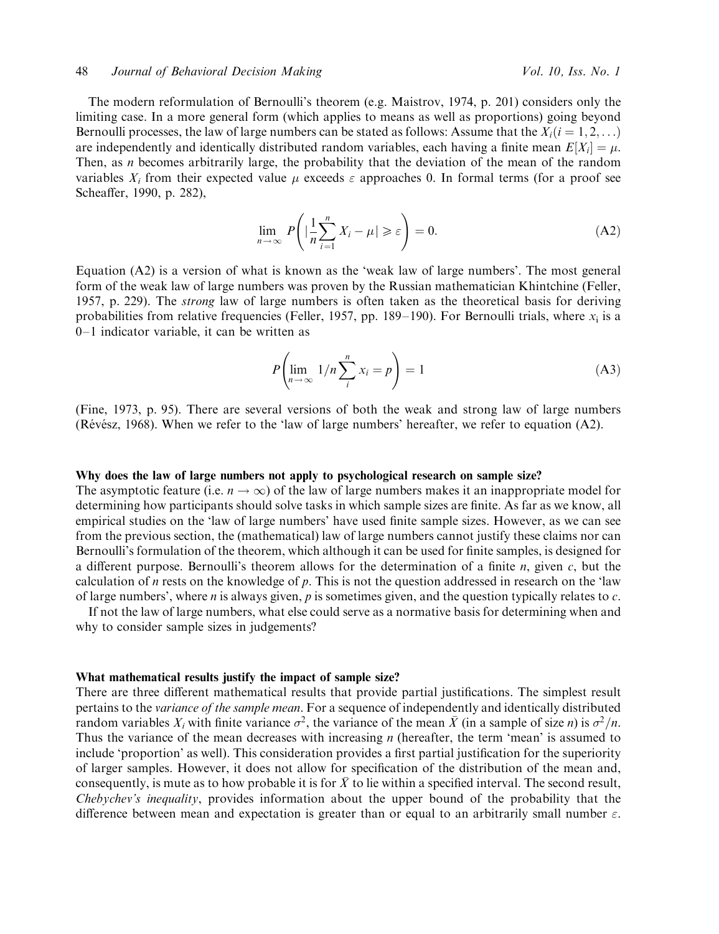#### 48 *Journal of Behavioral Decision Making* Vol. 10, Iss. No. 1

The modern reformulation of Bernoulli's theorem (e.g. Maistrov, 1974, p. 201) considers only the limiting case. In a more general form (which applies to means as well as proportions) going beyond Bernoulli processes, the law of large numbers can be stated as follows: Assume that the  $X_i(i = 1, 2, ...)$ are independently and identically distributed random variables, each having a finite mean  $E[X_i] = \mu$ . Then, as *n* becomes arbitrarily large, the probability that the deviation of the mean of the random variables  $X_i$  from their expected value  $\mu$  exceeds  $\varepsilon$  approaches 0. In formal terms (for a proof see Scheaffer, 1990, p. 282),

$$
\lim_{n \to \infty} P\left(|\frac{1}{n}\sum_{i=1}^{n}X_i - \mu| \geq \varepsilon\right) = 0. \tag{A2}
$$

Equation  $(A2)$  is a version of what is known as the 'weak law of large numbers'. The most general form of the weak law of large numbers was proven by the Russian mathematician Khintchine (Feller, 1957, p. 229). The *strong* law of large numbers is often taken as the theoretical basis for deriving probabilities from relative frequencies (Feller, 1957, pp. 189–190). For Bernoulli trials, where  $x_i$  is a  $0-1$  indicator variable, it can be written as

$$
P\left(\lim_{n\to\infty}1/n\sum_{i}^{n}x_{i}=p\right)=1
$$
\n(A3)

(Fine, 1973, p. 95). There are several versions of both the weak and strong law of large numbers (Révész, 1968). When we refer to the 'law of large numbers' hereafter, we refer to equation (A2).

#### Why does the law of large numbers not apply to psychological research on sample size?

The asymptotic feature (i.e.  $n \to \infty$ ) of the law of large numbers makes it an inappropriate model for determining how participants should solve tasks in which sample sizes are finite. As far as we know, all empirical studies on the 'law of large numbers' have used finite sample sizes. However, as we can see from the previous section, the (mathematical) law of large numbers cannot justify these claims nor can Bernoulli's formulation of the theorem, which although it can be used for finite samples, is designed for a different purpose. Bernoulli's theorem allows for the determination of a finite  $n$ , given  $c$ , but the calculation of *n* rests on the knowledge of *p*. This is not the question addressed in research on the 'law of large numbers', where *n* is always given,  $p$  is sometimes given, and the question typically relates to  $c$ .

If not the law of large numbers, what else could serve as a normative basis for determining when and why to consider sample sizes in judgements?

#### What mathematical results justify the impact of sample size?

There are three different mathematical results that provide partial justifications. The simplest result pertains to the variance of the sample mean. For a sequence of independently and identically distributed random variables  $X_i$  with finite variance  $\sigma^2$ , the variance of the mean  $\bar{X}$  (in a sample of size *n*) is  $\sigma^2/n$ . Thus the variance of the mean decreases with increasing  $n$  (hereafter, the term 'mean' is assumed to include 'proportion' as well). This consideration provides a first partial justification for the superiority of larger samples. However, it does not allow for specification of the distribution of the mean and, consequently, is mute as to how probable it is for  $\bar{X}$  to lie within a specified interval. The second result, Chebychev's inequality, provides information about the upper bound of the probability that the difference between mean and expectation is greater than or equal to an arbitrarily small number  $\varepsilon$ .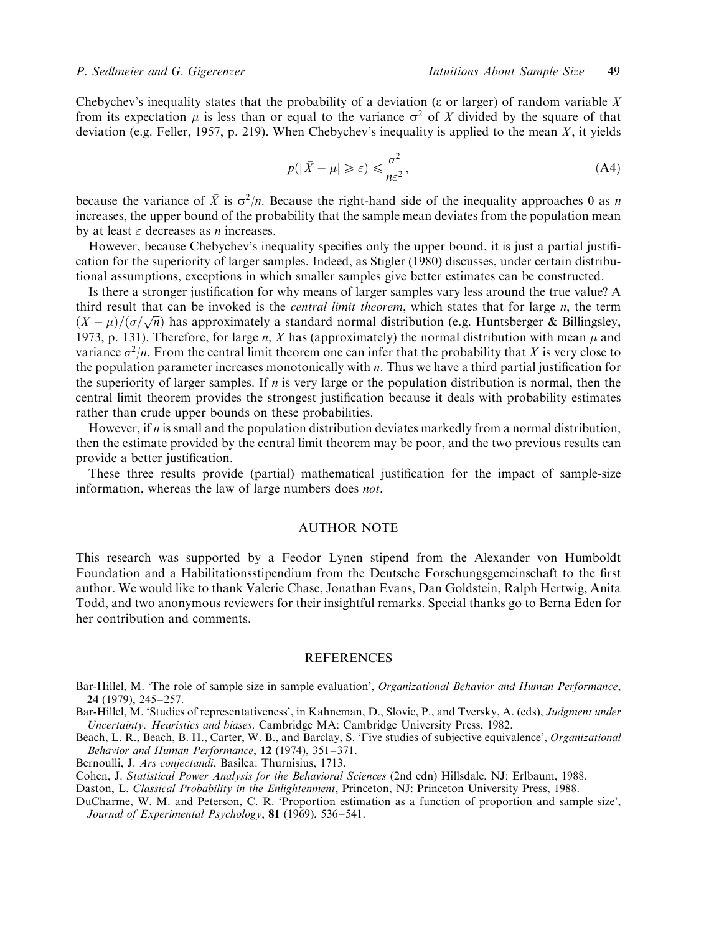Chebychev's inequality states that the probability of a deviation ( $\varepsilon$  or larger) of random variable X from its expectation  $\mu$  is less than or equal to the variance  $\sigma^2$  of X divided by the square of that deviation (e.g. Feller, 1957, p. 219). When Chebychev's inequality is applied to the mean  $\overline{X}$ , it yields

$$
p(|\bar{X} - \mu| \ge \varepsilon) \le \frac{\sigma^2}{n\varepsilon^2},\tag{A4}
$$

because the variance of  $\bar{X}$  is  $\sigma^2/n$ . Because the right-hand side of the inequality approaches 0 as n increases, the upper bound of the probability that the sample mean deviates from the population mean by at least  $\varepsilon$  decreases as *n* increases.

However, because Chebychev's inequality specifies only the upper bound, it is just a partial justification for the superiority of larger samples. Indeed, as Stigler (1980) discusses, under certain distributional assumptions, exceptions in which smaller samples give better estimates can be constructed.

Is there a stronger justification for why means of larger samples vary less around the true value? A third result that can be invoked is the *central limit theorem*, which states that for large  $n$ , the term  $(\bar{X} - \mu)/(\sigma/\sqrt{n})$  has approximately a standard normal distribution (e.g. Huntsberger & Billingsley, 1973, p. 131). Therefore, for large n,  $\bar{X}$  has (approximately) the normal distribution with mean  $\mu$  and variance  $\sigma^2/n$ . From the central limit theorem one can infer that the probability that  $\bar{X}$  is very close to the population parameter increases monotonically with  $n$ . Thus we have a third partial justification for the superiority of larger samples. If n is very large or the population distribution is normal, then the central limit theorem provides the strongest justification because it deals with probability estimates rather than crude upper bounds on these probabilities.

However, if  $n$  is small and the population distribution deviates markedly from a normal distribution, then the estimate provided by the central limit theorem may be poor, and the two previous results can provide a better justification.

These three results provide (partial) mathematical justification for the impact of sample-size information, whereas the law of large numbers does not.

# AUTHOR NOTE

This research was supported by a Feodor Lynen stipend from the Alexander von Humboldt Foundation and a Habilitationsstipendium from the Deutsche Forschungsgemeinschaft to the first author. We would like to thank Valerie Chase, Jonathan Evans, Dan Goldstein, Ralph Hertwig, Anita Todd, and two anonymous reviewers for their insightful remarks. Special thanks go to Berna Eden for her contribution and comments.

#### REFERENCES

Bar-Hillel, M. 'The role of sample size in sample evaluation', Organizational Behavior and Human Performance, 24 (1979), 245-257.

Bar-Hillel, M. 'Studies of representativeness', in Kahneman, D., Slovic, P., and Tversky, A. (eds), Judgment under Uncertainty: Heuristics and biases. Cambridge MA: Cambridge University Press, 1982.

Beach, L. R., Beach, B. H., Carter, W. B., and Barclay, S. 'Five studies of subjective equivalence', Organizational Behavior and Human Performance,  $12$  (1974),  $351-371$ .

Bernoulli, J. Ars conjectandi, Basilea: Thurnisius, 1713.

Cohen, J. Statistical Power Analysis for the Behavioral Sciences (2nd edn) Hillsdale, NJ: Erlbaum, 1988.

Daston, L. Classical Probability in the Enlightenment, Princeton, NJ: Princeton University Press, 1988.

DuCharme, W. M. and Peterson, C. R. `Proportion estimation as a function of proportion and sample size', Journal of Experimental Psychology, 81 (1969), 536-541.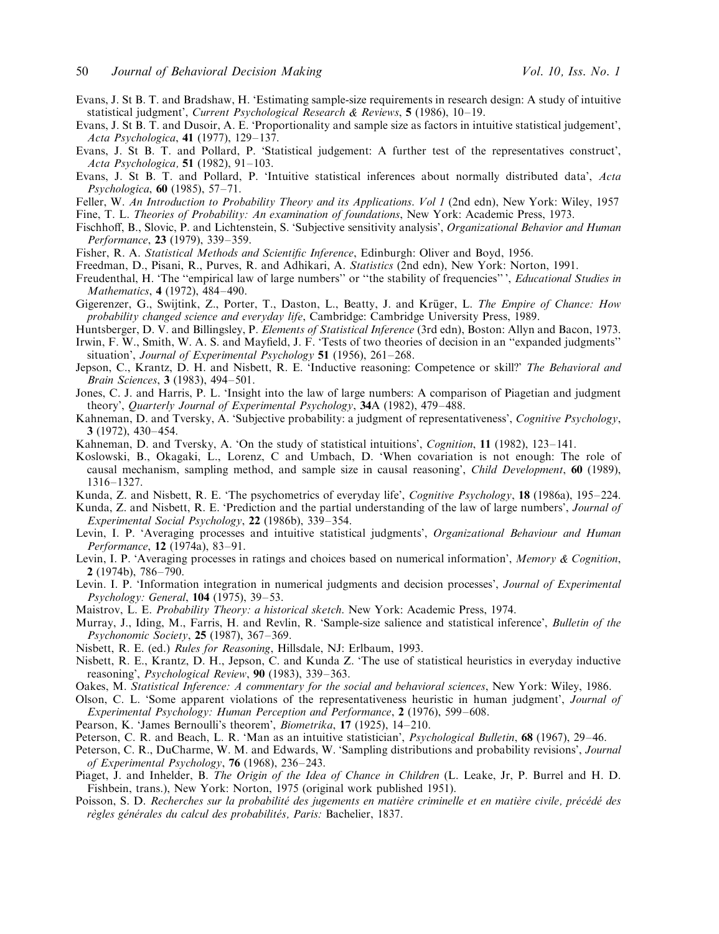- Evans, J. St B. T. and Bradshaw, H. `Estimating sample-size requirements in research design: A study of intuitive statistical judgment', Current Psychological Research & Reviews,  $5(1986), 10-19$ .
- Evans, J. St B. T. and Dusoir, A. E. `Proportionality and sample size as factors in intuitive statistical judgement', Acta Psychologica, 41 (1977), 129-137.
- Evans, J. St B. T. and Pollard, P. `Statistical judgement: A further test of the representatives construct', Acta Psychologica, 51 (1982), 91-103.
- Evans, J. St B. T. and Pollard, P. 'Intuitive statistical inferences about normally distributed data', Acta  $Psychological, 60 (1985), 57–71.$

Feller, W. An Introduction to Probability Theory and its Applications. Vol 1 (2nd edn), New York: Wiley, 1957

Fine, T. L. Theories of Probability: An examination of foundations, New York: Academic Press, 1973.

- Fischhoff, B., Slovic, P. and Lichtenstein, S. 'Subjective sensitivity analysis', Organizational Behavior and Human Performance, 23 (1979), 339-359.
- Fisher, R. A. Statistical Methods and Scientific Inference, Edinburgh: Oliver and Boyd, 1956.
- Freedman, D., Pisani, R., Purves, R. and Adhikari, A. Statistics (2nd edn), New York: Norton, 1991.
- Freudenthal, H. 'The "empirical law of large numbers" or "the stability of frequencies"', Educational Studies in Mathematics, 4 (1972), 484-490.
- Gigerenzer, G., Swijtink, Z., Porter, T., Daston, L., Beatty, J. and Krüger, L. The Empire of Chance: How probability changed science and everyday life, Cambridge: Cambridge University Press, 1989.
- Huntsberger, D. V. and Billingsley, P. *Elements of Statistical Inference* (3rd edn), Boston: Allyn and Bacon, 1973.
- Irwin, F. W., Smith, W. A. S. and Mayfield, J. F. 'Tests of two theories of decision in an "expanded judgments" situation', Journal of Experimental Psychology  $51$  (1956), 261-268.
- Jepson, C., Krantz, D. H. and Nisbett, R. E. 'Inductive reasoning: Competence or skill?' The Behavioral and Brain Sciences, 3 (1983), 494-501.
- Jones, C. J. and Harris, P. L. `Insight into the law of large numbers: A comparison of Piagetian and judgment theory', Quarterly Journal of Experimental Psychology, 34A (1982), 479-488.
- Kahneman, D. and Tversky, A. 'Subjective probability: a judgment of representativeness', Cognitive Psychology, 3 (1972), 430-454.
- Kahneman, D. and Tversky, A. 'On the study of statistical intuitions', *Cognition*, 11 (1982), 123–141.
- Koslowski, B., Okagaki, L., Lorenz, C and Umbach, D. `When covariation is not enough: The role of causal mechanism, sampling method, and sample size in causal reasoning', Child Development, 60 (1989), 1316±1327.
- Kunda, Z. and Nisbett, R. E. 'The psychometrics of everyday life', *Cognitive Psychology*, **18** (1986a), 195–224.
- Kunda, Z. and Nisbett, R. E. 'Prediction and the partial understanding of the law of large numbers', *Journal of* Experimental Social Psychology, 22 (1986b), 339-354.
- Levin, I. P. 'Averaging processes and intuitive statistical judgments', Organizational Behaviour and Human Performance, 12 (1974a), 83-91.
- Levin, I. P. 'Averaging processes in ratings and choices based on numerical information', Memory & Cognition, 2 (1974b),  $786-790$ .
- Levin. I. P. 'Information integration in numerical judgments and decision processes', Journal of Experimental *Psychology: General*,  $104$  (1975),  $39-53$ .
- Maistrov, L. E. Probability Theory: a historical sketch. New York: Academic Press, 1974.
- Murray, J., Iding, M., Farris, H. and Revlin, R. 'Sample-size salience and statistical inference', Bulletin of the Psychonomic Society,  $25$  (1987), 367-369.
- Nisbett, R. E. (ed.) Rules for Reasoning, Hillsdale, NJ: Erlbaum, 1993.
- Nisbett, R. E., Krantz, D. H., Jepson, C. and Kunda Z. `The use of statistical heuristics in everyday inductive reasoning', Psychological Review, 90 (1983), 339-363.
- Oakes, M. Statistical Inference: A commentary for the social and behavioral sciences, New York: Wiley, 1986.
- Olson, C. L. `Some apparent violations of the representativeness heuristic in human judgment', Journal of Experimental Psychology: Human Perception and Performance,  $2(1976)$ , 599–608.
- Pearson, K. 'James Bernoulli's theorem', *Biometrika*, 17 (1925), 14–210.
- Peterson, C. R. and Beach, L. R. `Man as an intuitive statistician', *Psychological Bulletin*, 68 (1967), 29–46.
- Peterson, C. R., DuCharme, W. M. and Edwards, W. `Sampling distributions and probability revisions', Journal of Experimental Psychology,  $76$  (1968), 236-243.
- Piaget, J. and Inhelder, B. The Origin of the Idea of Chance in Children (L. Leake, Jr, P. Burrel and H. D. Fishbein, trans.), New York: Norton, 1975 (original work published 1951).
- Poisson, S. D. Recherches sur la probabilité des jugements en matière criminelle et en matière civile, précédé des règles générales du calcul des probabilités, Paris: Bachelier, 1837.